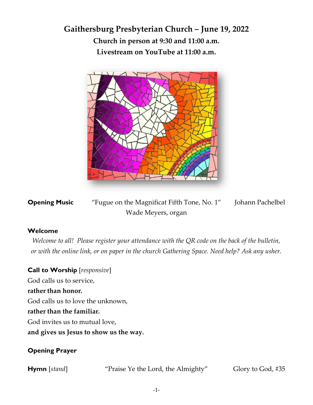**Gaithersburg Presbyterian Church – June 19, 2022 Church in person at 9:30 and 11:00 a.m. Livestream on YouTube at 11:00 a.m.**



**Opening Music** "Fugue on the Magnificat Fifth Tone, No. 1" Johann Pachelbel Wade Meyers, organ

## **Welcome**

*Welcome to all! Please register your attendance with the QR code on the back of the bulletin, or with the online link, or on paper in the church Gathering Space. Need help? Ask any usher.*

**Call to Worship** [*responsive*] God calls us to service, **rather than honor.** God calls us to love the unknown, **rather than the familiar.** God invites us to mutual love, **and gives us Jesus to show us the way.**

## **Opening Prayer**

**Hymn** [*stand*] "Praise Ye the Lord, the Almighty" Glory to God, #35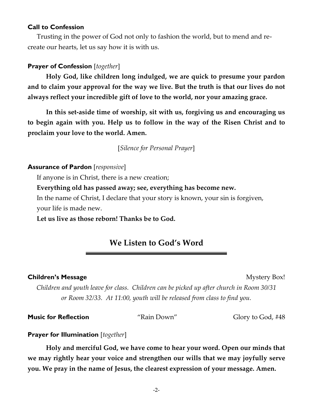#### **Call to Confession**

Trusting in the power of God not only to fashion the world, but to mend and recreate our hearts, let us say how it is with us.

### **Prayer of Confession** [*together*]

**Holy God, like children long indulged, we are quick to presume your pardon and to claim your approval for the way we live. But the truth is that our lives do not always reflect your incredible gift of love to the world, nor your amazing grace.** 

**In this set-aside time of worship, sit with us, forgiving us and encouraging us to begin again with you. Help us to follow in the way of the Risen Christ and to proclaim your love to the world. Amen.**

[*Silence for Personal Prayer*]

#### **Assurance of Pardon** [*responsive*]

If anyone is in Christ, there is a new creation;

#### **Everything old has passed away; see, everything has become new.**

In the name of Christ, I declare that your story is known, your sin is forgiven, your life is made new.

**Let us live as those reborn! Thanks be to God.**

# **We Listen to God's Word**

#### **Children's Message Children's Mystery Box!**

*Children and youth leave for class. Children can be picked up after church in Room 30/31 or Room 32/33. At 11:00, youth will be released from class to find you.* 

**Music for Reflection** "Rain Down" Glory to God, #48

#### **Prayer for Illumination** [*together*]

**Holy and merciful God, we have come to hear your word. Open our minds that we may rightly hear your voice and strengthen our wills that we may joyfully serve you. We pray in the name of Jesus, the clearest expression of your message. Amen.**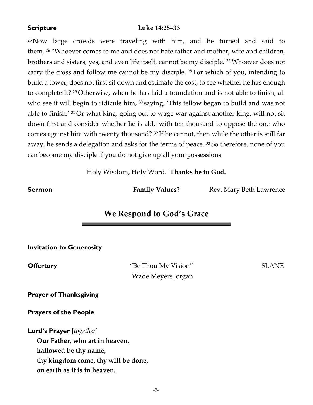### **Scripture Luke 14:25–33**

<sup>25</sup> Now large crowds were traveling with him, and he turned and said to them, <sup>26</sup> "Whoever comes to me and does not hate father and mother, wife and children, brothers and sisters, yes, and even life itself, cannot be my disciple. <sup>27</sup>Whoever does not carry the cross and follow me cannot be my disciple. <sup>28</sup> For which of you, intending to build a tower, does not first sit down and estimate the cost, to see whether he has enough to complete it? <sup>29</sup> Otherwise, when he has laid a foundation and is not able to finish, all who see it will begin to ridicule him, <sup>30</sup> saying, 'This fellow began to build and was not able to finish.' <sup>31</sup> Or what king, going out to wage war against another king, will not sit down first and consider whether he is able with ten thousand to oppose the one who comes against him with twenty thousand? <sup>32</sup> If he cannot, then while the other is still far away, he sends a delegation and asks for the terms of peace. <sup>33</sup> So therefore, none of you can become my disciple if you do not give up all your possessions.

Holy Wisdom, Holy Word. **Thanks be to God.**

**Sermon Family Values?** Rev. Mary Beth Lawrence

# **We Respond to God's Grace**

#### **Invitation to Generosity**

**Offertory** "Be Thou My Vision" SLANE Wade Meyers, organ

**Prayer of Thanksgiving**

**Prayers of the People**

**Lord's Prayer** [*together*]

**Our Father, who art in heaven,** 

**hallowed be thy name,** 

**thy kingdom come, thy will be done,** 

**on earth as it is in heaven.**